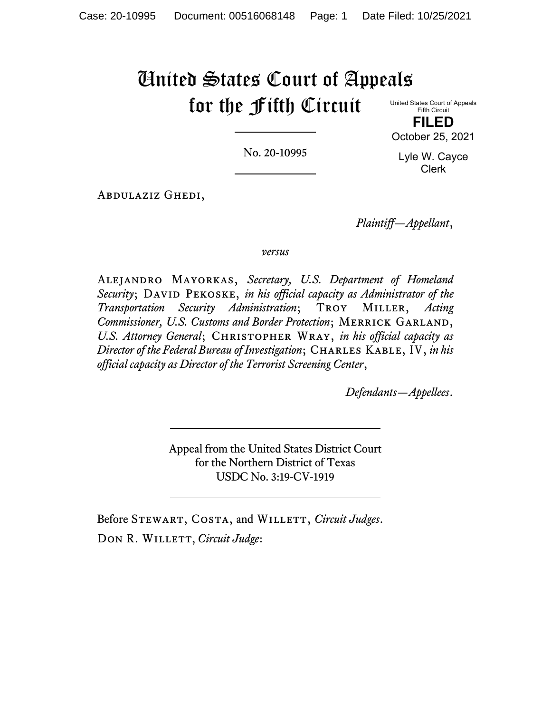# United States Court of Appeals for the Fifth Circuit

United States Court of Appeals Fifth Circuit **FILED**

October 25, 2021

No. 20-10995

Lyle W. Cayce Clerk

Abdulaziz Ghedi,

*Plaintiff—Appellant*,

# *versus*

Alejandro Mayorkas, *Secretary, U.S. Department of Homeland Security*; DAVID PEKOSKE, *in his official capacity as Administrator of the Transportation Security Administration*; Troy Miller, *Acting Commissioner, U.S. Customs and Border Protection*; MERRICK GARLAND, *U.S. Attorney General*; Christopher Wray, *in his official capacity as Director of the Federal Bureau of Investigation*; CHARLES KABLE, IV, *in his official capacity as Director of the Terrorist Screening Center*,

*Defendants—Appellees*.

Appeal from the United States District Court for the Northern District of Texas USDC No. 3:19-CV-1919

Before STEWART, COSTA, and WILLETT, *Circuit Judges*. DON R. WILLETT, *Circuit Judge*: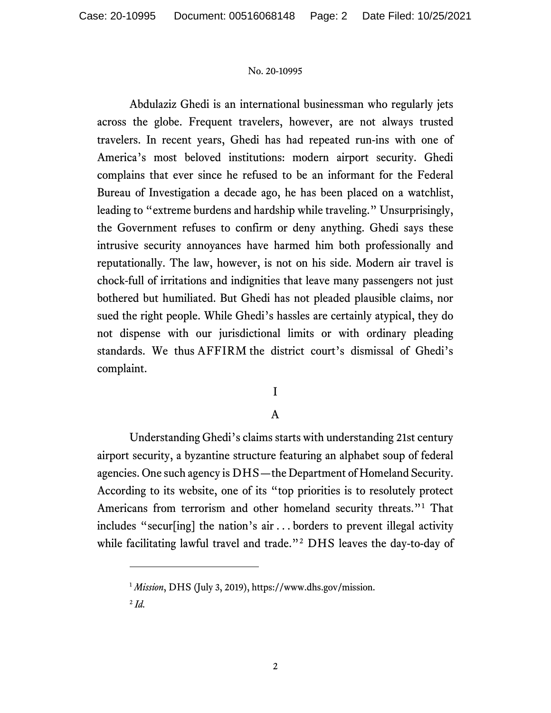Abdulaziz Ghedi is an international businessman who regularly jets across the globe. Frequent travelers, however, are not always trusted travelers. In recent years, Ghedi has had repeated run-ins with one of America's most beloved institutions: modern airport security. Ghedi complains that ever since he refused to be an informant for the Federal Bureau of Investigation a decade ago, he has been placed on a watchlist, leading to "extreme burdens and hardship while traveling." Unsurprisingly, the Government refuses to confirm or deny anything. Ghedi says these intrusive security annoyances have harmed him both professionally and reputationally. The law, however, is not on his side. Modern air travel is chock-full of irritations and indignities that leave many passengers not just bothered but humiliated. But Ghedi has not pleaded plausible claims, nor sued the right people. While Ghedi's hassles are certainly atypical, they do not dispense with our jurisdictional limits or with ordinary pleading standards. We thus AFFIRM the district court's dismissal of Ghedi's complaint.

I

# A

Understanding Ghedi's claims starts with understanding 21st century airport security, a byzantine structure featuring an alphabet soup of federal agencies. One such agency is DHS—the Department of Homeland Security. According to its website, one of its "top priorities is to resolutely protect Americans from terrorism and other homeland security threats."[1](#page-1-0) That includes "secur[ing] the nation's air . . . borders to prevent illegal activity while facilitating lawful travel and trade."<sup>[2](#page-1-1)</sup> DHS leaves the day-to-day of

<span id="page-1-0"></span><sup>1</sup> *Mission*, DHS (July 3, 2019), https://www.dhs.gov/mission.

<span id="page-1-1"></span> $^{2}$ *Id.*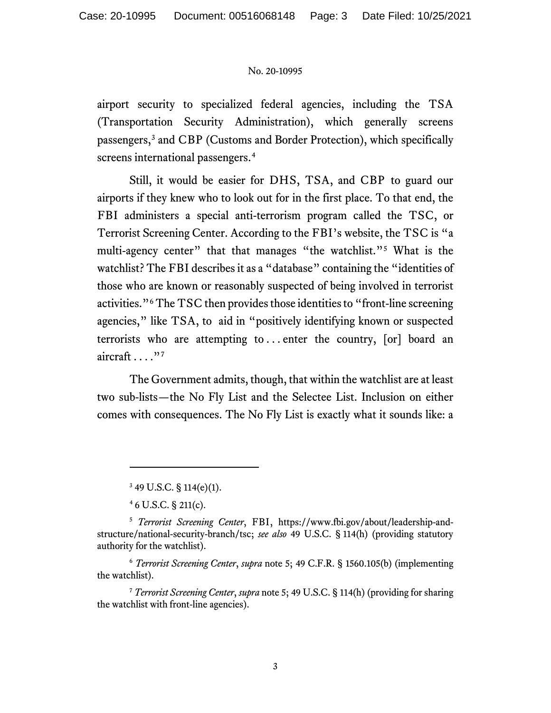airport security to specialized federal agencies, including the TSA (Transportation Security Administration), which generally screens passengers,[3](#page-2-0) and CBP (Customs and Border Protection), which specifically screens international passengers. [4](#page-2-1)

Still, it would be easier for DHS, TSA, and CBP to guard our airports if they knew who to look out for in the first place. To that end, the FBI administers a special anti-terrorism program called the TSC, or Terrorist Screening Center. According to the FBI's website, the TSC is "a multi-agency center" that that manages "the watchlist."<sup>[5](#page-2-2)</sup> What is the watchlist? The FBI describes it as a "database" containing the "identities of those who are known or reasonably suspected of being involved in terrorist activities."<sup>[6](#page-2-3)</sup> The TSC then provides those identities to "front-line screening" agencies," like TSA, to aid in "positively identifying known or suspected terrorists who are attempting to ... enter the country,  $[or]$  board an aircraft  $\ldots$ ."[7](#page-2-4)

The Government admits, though, that within the watchlist are at least two sub-lists—the No Fly List and the Selectee List. Inclusion on either comes with consequences. The No Fly List is exactly what it sounds like: a

<span id="page-2-3"></span><sup>6</sup> *Terrorist Screening Center*, *supra* note 5; 49 C.F.R. § 1560.105(b) (implementing the watchlist).

<span id="page-2-4"></span><sup>7</sup> *Terrorist Screening Center*, *supra* note 5; 49 U.S.C. § 114(h) (providing for sharing the watchlist with front-line agencies).

<sup>3</sup> 49 U.S.C. § 114(e)(1).

<sup>4</sup> 6 U.S.C. § 211(c).

<span id="page-2-2"></span><span id="page-2-1"></span><span id="page-2-0"></span><sup>5</sup> *Terrorist Screening Center*, FBI, https://www.fbi.gov/about/leadership-andstructure/national-security-branch/tsc; *see also* 49 U.S.C. § 114(h) (providing statutory authority for the watchlist).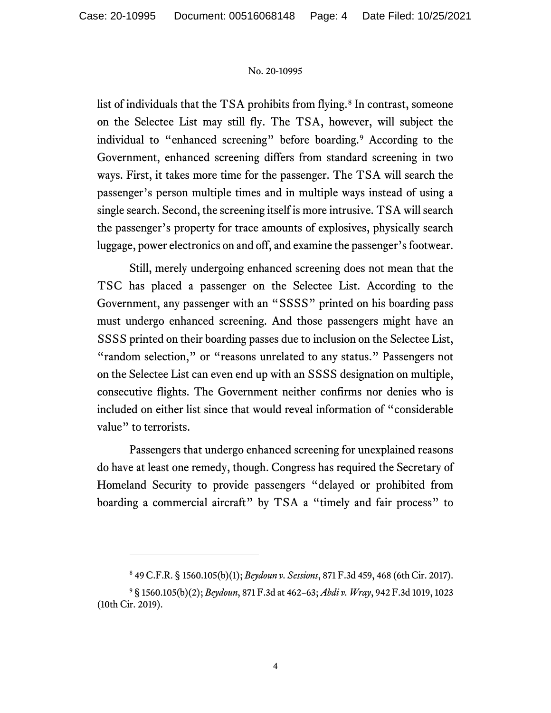list of individuals that the TSA prohibits from flying.<sup>[8](#page-3-0)</sup> In contrast, someone on the Selectee List may still fly. The TSA, however, will subject the individual to "enhanced screening" before boarding.[9](#page-3-1) According to the Government, enhanced screening differs from standard screening in two ways. First, it takes more time for the passenger. The TSA will search the passenger's person multiple times and in multiple ways instead of using a single search. Second, the screening itself is more intrusive. TSA will search the passenger's property for trace amounts of explosives, physically search luggage, power electronics on and off, and examine the passenger's footwear.

Still, merely undergoing enhanced screening does not mean that the TSC has placed a passenger on the Selectee List. According to the Government, any passenger with an "SSSS" printed on his boarding pass must undergo enhanced screening. And those passengers might have an SSSS printed on their boarding passes due to inclusion on the Selectee List, "random selection," or "reasons unrelated to any status." Passengers not on the Selectee List can even end up with an SSSS designation on multiple, consecutive flights. The Government neither confirms nor denies who is included on either list since that would reveal information of "considerable value" to terrorists.

Passengers that undergo enhanced screening for unexplained reasons do have at least one remedy, though. Congress has required the Secretary of Homeland Security to provide passengers "delayed or prohibited from boarding a commercial aircraft" by TSA a "timely and fair process" to

<sup>8</sup> 49 C.F.R. § 1560.105(b)(1); *Beydoun v. Sessions*, 871 F.3d 459, 468 (6th Cir. 2017).

<span id="page-3-1"></span><span id="page-3-0"></span><sup>9</sup> § 1560.105(b)(2); *Beydoun*, 871 F.3d at 462–63; *Abdi v. Wray*, 942 F.3d 1019, 1023 (10th Cir. 2019).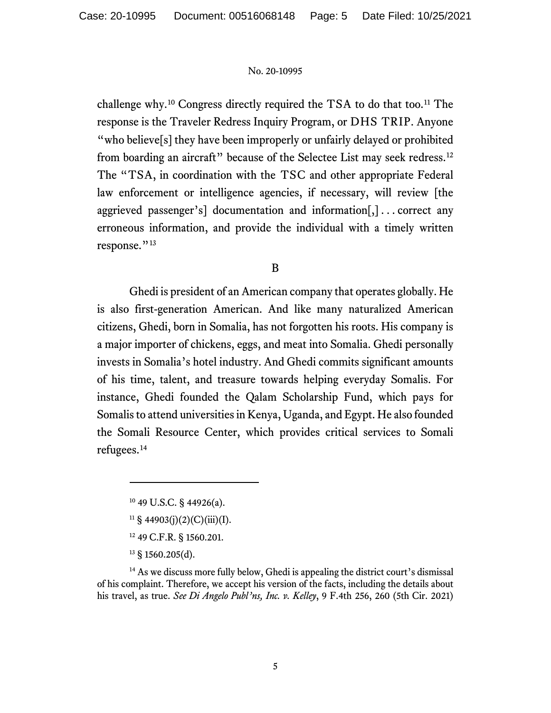challenge why.<sup>[10](#page-4-0)</sup> Congress directly required the TSA to do that too.<sup>[11](#page-4-1)</sup> The response is the Traveler Redress Inquiry Program, or DHS TRIP. Anyone "who believe<sup>[s]</sup> they have been improperly or unfairly delayed or prohibited from boarding an aircraft" because of the Selectee List may seek redress.<sup>[12](#page-4-2)</sup> The "TSA, in coordination with the TSC and other appropriate Federal law enforcement or intelligence agencies, if necessary, will review [the aggrieved passenger's] documentation and information[,] . . . correct any erroneous information, and provide the individual with a timely written response."<sup>[13](#page-4-3)</sup>

B

Ghedi is president of an American company that operates globally. He is also first-generation American. And like many naturalized American citizens, Ghedi, born in Somalia, has not forgotten his roots. His company is a major importer of chickens, eggs, and meat into Somalia. Ghedi personally invests in Somalia's hotel industry. And Ghedi commits significant amounts of his time, talent, and treasure towards helping everyday Somalis. For instance, Ghedi founded the Qalam Scholarship Fund, which pays for Somalis to attend universities in Kenya, Uganda, and Egypt. He also founded the Somali Resource Center, which provides critical services to Somali refugees.[14](#page-4-4)

- <sup>12</sup> 49 C.F.R. § 1560.201.
- $13 \text{ }$ § 1560.205(d).

<span id="page-4-4"></span><span id="page-4-3"></span><span id="page-4-2"></span><span id="page-4-1"></span><span id="page-4-0"></span><sup>14</sup> As we discuss more fully below, Ghedi is appealing the district court's dismissal of his complaint. Therefore, we accept his version of the facts, including the details about his travel, as true. *See Di Angelo Publ'ns, Inc. v. Kelley*, 9 F.4th 256, 260 (5th Cir. 2021)

 $10$  49 U.S.C. § 44926(a).

 $11 \S$  44903(j)(2)(C)(iii)(I).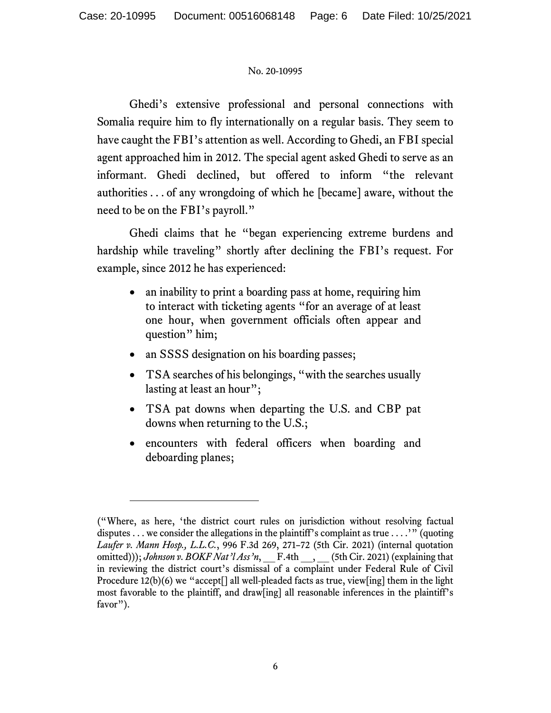Ghedi's extensive professional and personal connections with Somalia require him to fly internationally on a regular basis. They seem to have caught the FBI's attention as well. According to Ghedi, an FBI special agent approached him in 2012. The special agent asked Ghedi to serve as an informant. Ghedi declined, but offered to inform "the relevant authorities . . . of any wrongdoing of which he [became] aware, without the need to be on the FBI's payroll."

Ghedi claims that he "began experiencing extreme burdens and hardship while traveling" shortly after declining the FBI's request. For example, since 2012 he has experienced:

- an inability to print a boarding pass at home, requiring him to interact with ticketing agents "for an average of at least one hour, when government officials often appear and question" him;
- an SSSS designation on his boarding passes;
- TSA searches of his belongings, "with the searches usually lasting at least an hour";
- TSA pat downs when departing the U.S. and CBP pat downs when returning to the U.S.;
- encounters with federal officers when boarding and deboarding planes;

<sup>(&</sup>quot;Where, as here, 'the district court rules on jurisdiction without resolving factual disputes ... we consider the allegations in the plaintiff's complaint as true  $\dots$ .'" (quoting *Laufer v. Mann Hosp., L.L.C.*, 996 F.3d 269, 271–72 (5th Cir. 2021) (internal quotation omitted))); *Johnson v. BOKF Nat'l Ass'n*, F.4th \_\_, \_\_(5th Cir. 2021) (explaining that in reviewing the district court's dismissal of a complaint under Federal Rule of Civil Procedure 12(b)(6) we "accept<sup>[]</sup> all well-pleaded facts as true, view[ing] them in the light most favorable to the plaintiff, and draw[ing] all reasonable inferences in the plaintiff's favor").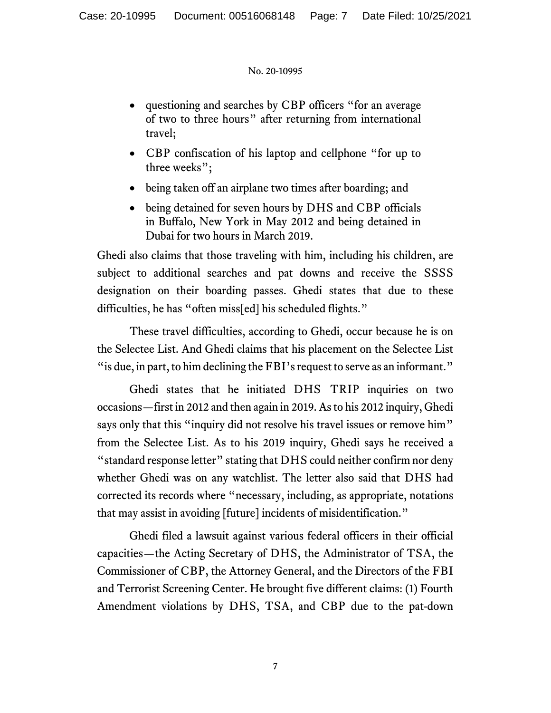- questioning and searches by CBP officers "for an average" of two to three hours" after returning from international travel;
- CBP confiscation of his laptop and cellphone "for up to three weeks";
- being taken off an airplane two times after boarding; and
- being detained for seven hours by DHS and CBP officials in Buffalo, New York in May 2012 and being detained in Dubai for two hours in March 2019.

Ghedi also claims that those traveling with him, including his children, are subject to additional searches and pat downs and receive the SSSS designation on their boarding passes. Ghedi states that due to these difficulties, he has "often miss[ed] his scheduled flights."

These travel difficulties, according to Ghedi, occur because he is on the Selectee List. And Ghedi claims that his placement on the Selectee List "is due, in part, to him declining the FBI's request to serve as an informant."

Ghedi states that he initiated DHS TRIP inquiries on two occasions—first in 2012 and then again in 2019. As to his 2012 inquiry, Ghedi says only that this "inquiry did not resolve his travel issues or remove him" from the Selectee List. As to his 2019 inquiry, Ghedi says he received a "standard response letter" stating that DHS could neither confirm nor deny whether Ghedi was on any watchlist. The letter also said that DHS had corrected its records where "necessary, including, as appropriate, notations that may assist in avoiding [future] incidents of misidentification."

Ghedi filed a lawsuit against various federal officers in their official capacities—the Acting Secretary of DHS, the Administrator of TSA, the Commissioner of CBP, the Attorney General, and the Directors of the FBI and Terrorist Screening Center. He brought five different claims: (1) Fourth Amendment violations by DHS, TSA, and CBP due to the pat-down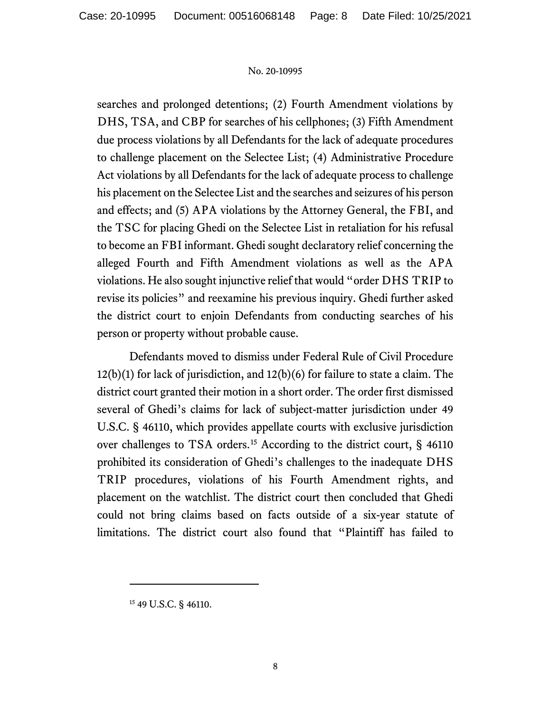searches and prolonged detentions; (2) Fourth Amendment violations by DHS, TSA, and CBP for searches of his cellphones; (3) Fifth Amendment due process violations by all Defendants for the lack of adequate procedures to challenge placement on the Selectee List; (4) Administrative Procedure Act violations by all Defendants for the lack of adequate process to challenge his placement on the Selectee List and the searches and seizures of his person and effects; and (5) APA violations by the Attorney General, the FBI, and the TSC for placing Ghedi on the Selectee List in retaliation for his refusal to become an FBI informant. Ghedi sought declaratory relief concerning the alleged Fourth and Fifth Amendment violations as well as the APA violations. He also sought injunctive relief that would "order DHS TRIP to revise its policies" and reexamine his previous inquiry. Ghedi further asked the district court to enjoin Defendants from conducting searches of his person or property without probable cause.

Defendants moved to dismiss under Federal Rule of Civil Procedure 12(b)(1) for lack of jurisdiction, and 12(b)(6) for failure to state a claim. The district court granted their motion in a short order. The order first dismissed several of Ghedi's claims for lack of subject-matter jurisdiction under 49 U.S.C. § 46110, which provides appellate courts with exclusive jurisdiction over challenges to TSA orders.<sup>[15](#page-7-0)</sup> According to the district court, § 46110 prohibited its consideration of Ghedi's challenges to the inadequate DHS TRIP procedures, violations of his Fourth Amendment rights, and placement on the watchlist. The district court then concluded that Ghedi could not bring claims based on facts outside of a six-year statute of limitations. The district court also found that "Plaintiff has failed to

<span id="page-7-0"></span><sup>15</sup> 49 U.S.C. § 46110.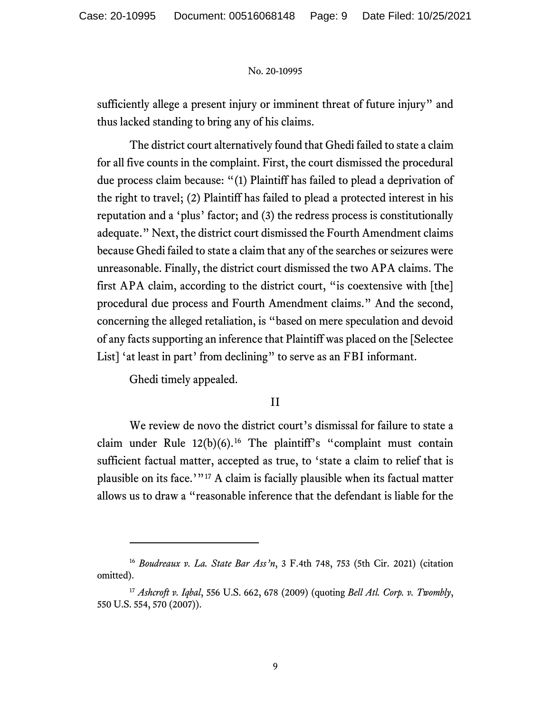sufficiently allege a present injury or imminent threat of future injury" and thus lacked standing to bring any of his claims.

The district court alternatively found that Ghedi failed to state a claim for all five counts in the complaint. First, the court dismissed the procedural due process claim because: "(1) Plaintiff has failed to plead a deprivation of the right to travel; (2) Plaintiff has failed to plead a protected interest in his reputation and a 'plus' factor; and (3) the redress process is constitutionally adequate." Next, the district court dismissed the Fourth Amendment claims because Ghedi failed to state a claim that any of the searches or seizures were unreasonable. Finally, the district court dismissed the two APA claims. The first APA claim, according to the district court, "is coextensive with [the] procedural due process and Fourth Amendment claims." And the second, concerning the alleged retaliation, is "based on mere speculation and devoid of any facts supporting an inference that Plaintiff was placed on the [Selectee List] 'at least in part' from declining" to serve as an FBI informant.

Ghedi timely appealed.

# II

We review de novo the district court's dismissal for failure to state a claim under Rule  $12(b)(6)$ .<sup>[16](#page-8-0)</sup> The plaintiff's "complaint must contain sufficient factual matter, accepted as true, to 'state a claim to relief that is plausible on its face.'"[17](#page-8-1) A claim is facially plausible when its factual matter allows us to draw a "reasonable inference that the defendant is liable for the

<span id="page-8-0"></span><sup>16</sup> *Boudreaux v. La. State Bar Ass'n*, 3 F.4th 748, 753 (5th Cir. 2021) (citation omitted).

<span id="page-8-1"></span><sup>17</sup> *Ashcroft v. Iqbal*, 556 U.S. 662, 678 (2009) (quoting *Bell Atl. Corp. v. Twombly*, 550 U.S. 554, 570 (2007)).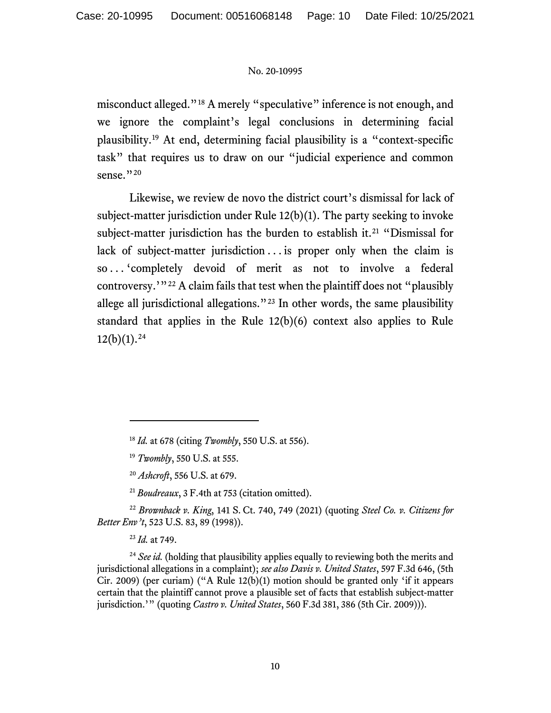misconduct alleged."[18](#page-9-0) A merely "speculative" inference is not enough, and we ignore the complaint's legal conclusions in determining facial plausibility.[19](#page-9-1) At end, determining facial plausibility is a "context-specific task" that requires us to draw on our "judicial experience and common sense."<sup>[20](#page-9-2)</sup>

Likewise, we review de novo the district court's dismissal for lack of subject-matter jurisdiction under Rule 12(b)(1). The party seeking to invoke subject-matter jurisdiction has the burden to establish it.<sup>[21](#page-9-3)</sup> "Dismissal for lack of subject-matter jurisdiction ... is proper only when the claim is so . . . 'completely devoid of merit as not to involve a federal controversy.'"[22](#page-9-4) A claim fails that test when the plaintiff does not "plausibly allege all jurisdictional allegations."[23](#page-9-5) In other words, the same plausibility standard that applies in the Rule 12(b)(6) context also applies to Rule  $12(b)(1).^{24}$  $12(b)(1).^{24}$  $12(b)(1).^{24}$ 

<span id="page-9-4"></span><span id="page-9-3"></span><span id="page-9-2"></span><span id="page-9-1"></span><span id="page-9-0"></span><sup>22</sup> *Brownback v. King*, 141 S. Ct. 740, 749 (2021) (quoting *Steel Co. v. Citizens for Better Env't*, 523 U.S. 83, 89 (1998)).

<sup>23</sup> *Id.* at 749.

<span id="page-9-6"></span><span id="page-9-5"></span><sup>24</sup> See id. (holding that plausibility applies equally to reviewing both the merits and jurisdictional allegations in a complaint); *see also Davis v. United States*, 597 F.3d 646, (5th Cir. 2009) (per curiam) ("A Rule  $12(b)(1)$  motion should be granted only 'if it appears certain that the plaintiff cannot prove a plausible set of facts that establish subject-matter jurisdiction.'" (quoting *Castro v. United States*, 560 F.3d 381, 386 (5th Cir. 2009))).

<sup>18</sup> *Id.* at 678 (citing *Twombly*, 550 U.S. at 556).

<sup>19</sup> *Twombly*, 550 U.S. at 555.

<sup>20</sup> *Ashcroft*, 556 U.S. at 679.

<sup>21</sup> *Boudreaux*, 3 F.4th at 753 (citation omitted).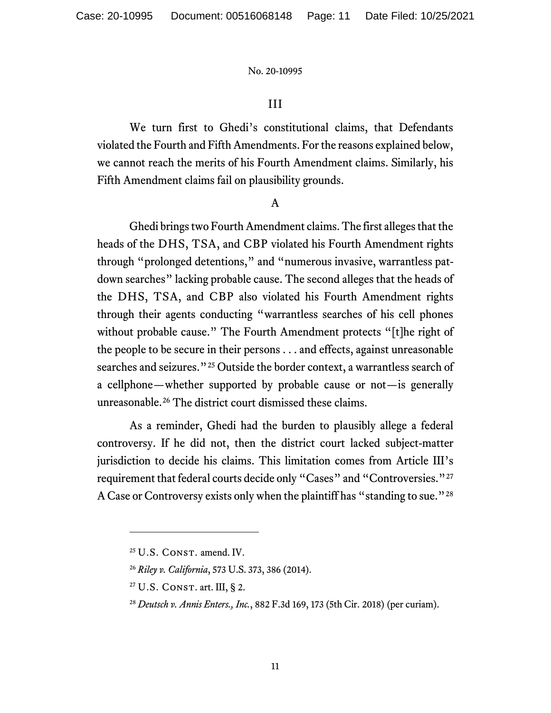# III

We turn first to Ghedi's constitutional claims, that Defendants violated the Fourth and Fifth Amendments. For the reasons explained below, we cannot reach the merits of his Fourth Amendment claims. Similarly, his Fifth Amendment claims fail on plausibility grounds.

### A

Ghedi brings two Fourth Amendment claims. The first alleges that the heads of the DHS, TSA, and CBP violated his Fourth Amendment rights through "prolonged detentions," and "numerous invasive, warrantless patdown searches" lacking probable cause. The second alleges that the heads of the DHS, TSA, and CBP also violated his Fourth Amendment rights through their agents conducting "warrantless searches of his cell phones without probable cause." The Fourth Amendment protects "[t]he right of the people to be secure in their persons . . . and effects, against unreasonable searches and seizures."<sup>[25](#page-10-0)</sup> Outside the border context, a warrantless search of a cellphone—whether supported by probable cause or not—is generally unreasonable.<sup>[26](#page-10-1)</sup> The district court dismissed these claims.

As a reminder, Ghedi had the burden to plausibly allege a federal controversy. If he did not, then the district court lacked subject-matter jurisdiction to decide his claims. This limitation comes from Article III's requirement that federal courts decide only "Cases" and "Controversies."<sup>[27](#page-10-2)</sup> A Case or Controversy exists only when the plaintiff has "standing to sue."<sup>[28](#page-10-3)</sup>

<span id="page-10-0"></span><sup>&</sup>lt;sup>25</sup> U.S. CONST. amend. IV.

<span id="page-10-2"></span><span id="page-10-1"></span><sup>26</sup> *Riley v. California*, 573 U.S. 373, 386 (2014).

 $27$  U.S. CONST. art. III, § 2.

<span id="page-10-3"></span><sup>28</sup> *Deutsch v. Annis Enters., Inc.*, 882 F.3d 169, 173 (5th Cir. 2018) (per curiam).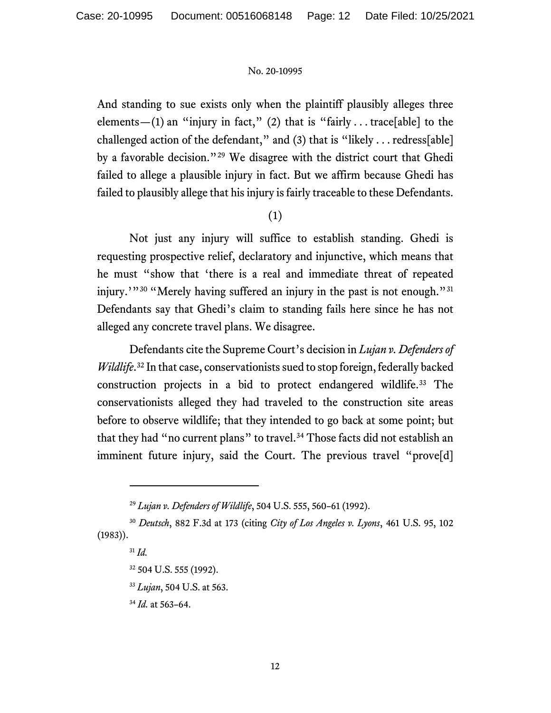And standing to sue exists only when the plaintiff plausibly alleges three elements—(1) an "injury in fact," (2) that is "fairly ... trace[able] to the challenged action of the defendant," and (3) that is "likely . . . redress[able] by a favorable decision."[29](#page-11-0) We disagree with the district court that Ghedi failed to allege a plausible injury in fact. But we affirm because Ghedi has failed to plausibly allege that his injury is fairly traceable to these Defendants.

# (1)

Not just any injury will suffice to establish standing. Ghedi is requesting prospective relief, declaratory and injunctive, which means that he must "show that 'there is a real and immediate threat of repeated injury.'"<sup>[30](#page-11-1)</sup> "Merely having suffered an injury in the past is not enough."<sup>[31](#page-11-2)</sup> Defendants say that Ghedi's claim to standing fails here since he has not alleged any concrete travel plans. We disagree.

Defendants cite the Supreme Court's decision in *Lujan v. Defenders of Wildlife*. [32](#page-11-3) In that case, conservationists sued to stop foreign, federally backed construction projects in a bid to protect endangered wildlife. [33](#page-11-4) The conservationists alleged they had traveled to the construction site areas before to observe wildlife; that they intended to go back at some point; but that they had "no current plans" to travel.<sup>[34](#page-11-5)</sup> Those facts did not establish an imminent future injury, said the Court. The previous travel "prove[d]

<sup>29</sup> *Lujan v. Defenders of Wildlife*, 504 U.S. 555, 560–61 (1992).

<span id="page-11-5"></span><span id="page-11-4"></span><span id="page-11-3"></span><span id="page-11-2"></span><span id="page-11-1"></span><span id="page-11-0"></span><sup>30</sup> *Deutsch*, 882 F.3d at 173 (citing *City of Los Angeles v. Lyons*, 461 U.S. 95, 102 (1983)).

<sup>31</sup> *Id.*

<sup>32</sup> 504 U.S. 555 (1992).

<sup>33</sup> *Lujan*, 504 U.S. at 563.

<sup>34</sup> *Id.* at 563–64.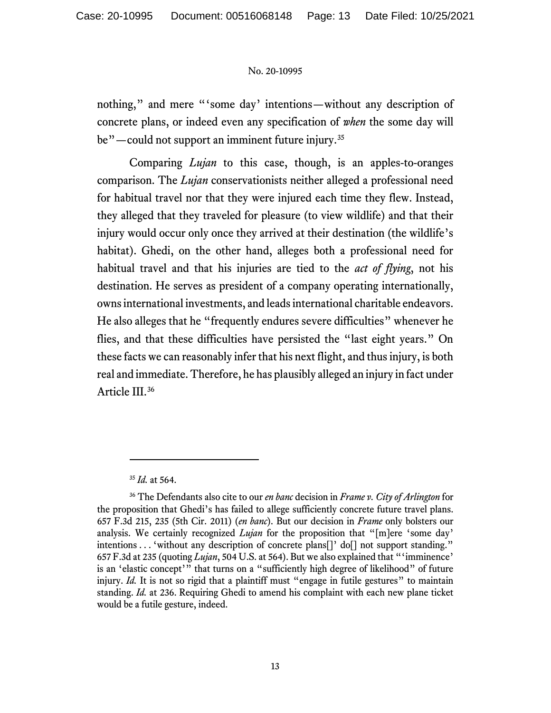nothing," and mere "'some day' intentions—without any description of concrete plans, or indeed even any specification of *when* the some day will be"—could not support an imminent future injury.<sup>[35](#page-12-0)</sup>

Comparing *Lujan* to this case, though, is an apples-to-oranges comparison. The *Lujan* conservationists neither alleged a professional need for habitual travel nor that they were injured each time they flew. Instead, they alleged that they traveled for pleasure (to view wildlife) and that their injury would occur only once they arrived at their destination (the wildlife's habitat). Ghedi, on the other hand, alleges both a professional need for habitual travel and that his injuries are tied to the *act of flying*, not his destination. He serves as president of a company operating internationally, owns international investments, and leads international charitable endeavors. He also alleges that he "frequently endures severe difficulties" whenever he flies, and that these difficulties have persisted the "last eight years." On these facts we can reasonably infer that his next flight, and thus injury, is both real and immediate. Therefore, he has plausibly alleged an injury in fact under Article III.[36](#page-12-1)

<sup>35</sup> *Id.* at 564.

<span id="page-12-1"></span><span id="page-12-0"></span><sup>36</sup> The Defendants also cite to our *en banc* decision in *Frame v. City of Arlington* for the proposition that Ghedi's has failed to allege sufficiently concrete future travel plans. 657 F.3d 215, 235 (5th Cir. 2011) (*en banc*). But our decision in *Frame* only bolsters our analysis. We certainly recognized *Lujan* for the proposition that "[m]ere 'some day' intentions . . . 'without any description of concrete plans<sup>[]</sup>' do<sup>[]</sup> not support standing." 657 F.3d at 235 (quoting *Lujan*, 504 U.S. at 564). But we also explained that "'imminence' is an 'elastic concept'" that turns on a "sufficiently high degree of likelihood" of future injury. *Id.* It is not so rigid that a plaintiff must "engage in futile gestures" to maintain standing. *Id.* at 236. Requiring Ghedi to amend his complaint with each new plane ticket would be a futile gesture, indeed.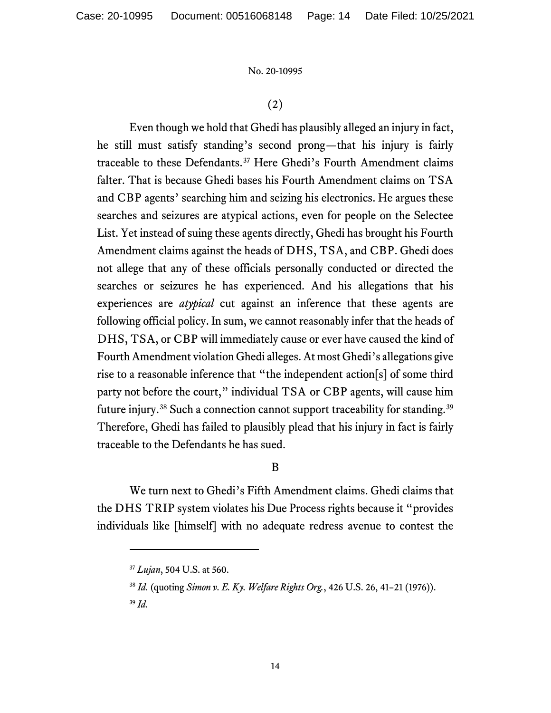# (2)

Even though we hold that Ghedi has plausibly alleged an injury in fact, he still must satisfy standing's second prong—that his injury is fairly traceable to these Defendants.[37](#page-13-0) Here Ghedi's Fourth Amendment claims falter. That is because Ghedi bases his Fourth Amendment claims on TSA and CBP agents' searching him and seizing his electronics. He argues these searches and seizures are atypical actions, even for people on the Selectee List. Yet instead of suing these agents directly, Ghedi has brought his Fourth Amendment claims against the heads of DHS, TSA, and CBP. Ghedi does not allege that any of these officials personally conducted or directed the searches or seizures he has experienced. And his allegations that his experiences are *atypical* cut against an inference that these agents are following official policy. In sum, we cannot reasonably infer that the heads of DHS, TSA, or CBP will immediately cause or ever have caused the kind of Fourth Amendment violation Ghedi alleges. At most Ghedi's allegations give rise to a reasonable inference that "the independent action[s] of some third party not before the court," individual TSA or CBP agents, will cause him future injury.<sup>[38](#page-13-1)</sup> Such a connection cannot support traceability for standing.<sup>[39](#page-13-2)</sup> Therefore, Ghedi has failed to plausibly plead that his injury in fact is fairly traceable to the Defendants he has sued.

# B

<span id="page-13-0"></span>We turn next to Ghedi's Fifth Amendment claims. Ghedi claims that the DHS TRIP system violates his Due Process rights because it "provides individuals like [himself] with no adequate redress avenue to contest the

<sup>37</sup> *Lujan*, 504 U.S. at 560.

<span id="page-13-1"></span><sup>38</sup> *Id.* (quoting *Simon v. E. Ky. Welfare Rights Org.*, 426 U.S. 26, 41–21 (1976)).

<span id="page-13-2"></span><sup>39</sup> *Id.*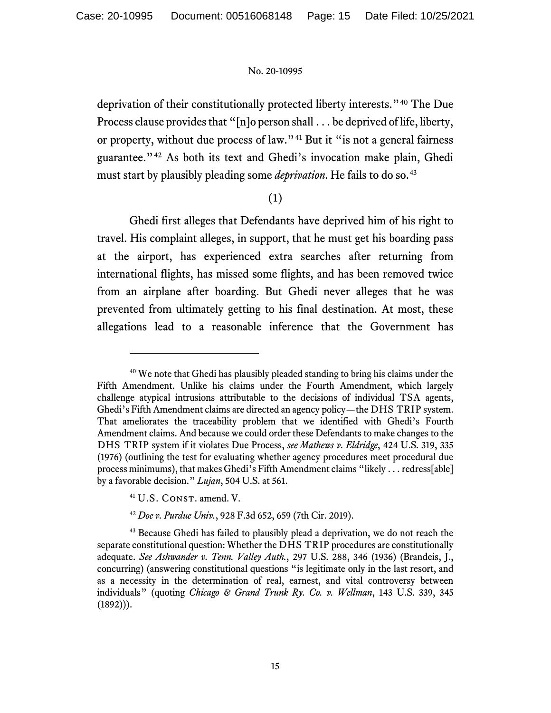deprivation of their constitutionally protected liberty interests."[40](#page-14-0) The Due Process clause provides that "[n]o person shall . . . be deprived of life, liberty, or property, without due process of law."[41](#page-14-1) But it "is not a general fairness guarantee."[42](#page-14-2) As both its text and Ghedi's invocation make plain, Ghedi must start by plausibly pleading some *deprivation*. He fails to do so. [43](#page-14-3)

# (1)

Ghedi first alleges that Defendants have deprived him of his right to travel. His complaint alleges, in support, that he must get his boarding pass at the airport, has experienced extra searches after returning from international flights, has missed some flights, and has been removed twice from an airplane after boarding. But Ghedi never alleges that he was prevented from ultimately getting to his final destination. At most, these allegations lead to a reasonable inference that the Government has

<span id="page-14-0"></span><sup>40</sup> We note that Ghedi has plausibly pleaded standing to bring his claims under the Fifth Amendment. Unlike his claims under the Fourth Amendment, which largely challenge atypical intrusions attributable to the decisions of individual TSA agents, Ghedi's Fifth Amendment claims are directed an agency policy—the DHS TRIP system. That ameliorates the traceability problem that we identified with Ghedi's Fourth Amendment claims. And because we could order these Defendants to make changes to the DHS TRIP system if it violates Due Process, *see Mathews v. Eldridge*, 424 U.S. 319, 335 (1976) (outlining the test for evaluating whether agency procedures meet procedural due process minimums), that makes Ghedi's Fifth Amendment claims "likely . . . redress[able] by a favorable decision." *Lujan*, 504 U.S. at 561.

<sup>&</sup>lt;sup>41</sup> U.S. CONST. amend. V.

<sup>42</sup> *Doe v. Purdue Univ.*, 928 F.3d 652, 659 (7th Cir. 2019).

<span id="page-14-3"></span><span id="page-14-2"></span><span id="page-14-1"></span><sup>&</sup>lt;sup>43</sup> Because Ghedi has failed to plausibly plead a deprivation, we do not reach the separate constitutional question: Whether the DHS TRIP procedures are constitutionally adequate. *See Ashwander v. Tenn. Valley Auth.*, 297 U.S. 288, 346 (1936) (Brandeis, J., concurring) (answering constitutional questions "is legitimate only in the last resort, and as a necessity in the determination of real, earnest, and vital controversy between individuals" (quoting *Chicago & Grand Trunk Ry. Co. v. Wellman*, 143 U.S. 339, 345  $(1892))$ .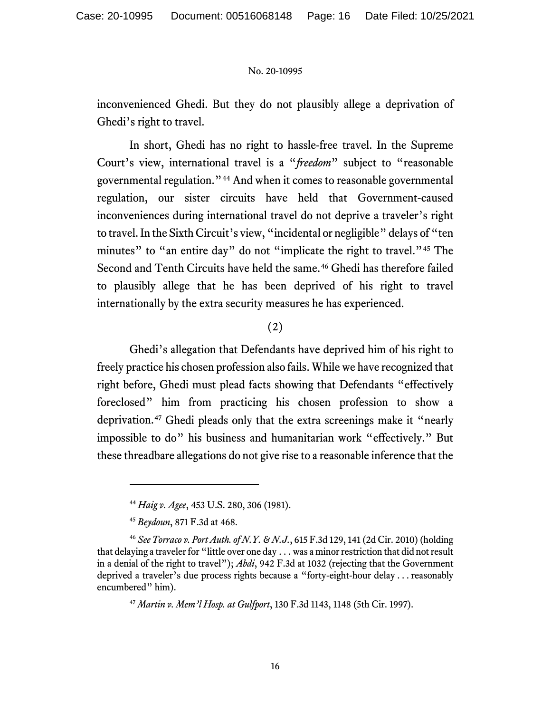inconvenienced Ghedi. But they do not plausibly allege a deprivation of Ghedi's right to travel.

In short, Ghedi has no right to hassle-free travel. In the Supreme Court's view, international travel is a "*freedom*" subject to "reasonable governmental regulation."[44](#page-15-0) And when it comes to reasonable governmental regulation, our sister circuits have held that Government-caused inconveniences during international travel do not deprive a traveler's right to travel. In the Sixth Circuit's view, "incidental or negligible" delays of "ten minutes" to "an entire day" do not "implicate the right to travel."<sup>[45](#page-15-1)</sup> The Second and Tenth Circuits have held the same.<sup>[46](#page-15-2)</sup> Ghedi has therefore failed to plausibly allege that he has been deprived of his right to travel internationally by the extra security measures he has experienced.

# (2)

Ghedi's allegation that Defendants have deprived him of his right to freely practice his chosen profession also fails. While we have recognized that right before, Ghedi must plead facts showing that Defendants "effectively foreclosed" him from practicing his chosen profession to show a deprivation. [47](#page-15-3) Ghedi pleads only that the extra screenings make it "nearly impossible to do" his business and humanitarian work "effectively." But these threadbare allegations do not give rise to a reasonable inference that the

<sup>44</sup> *Haig v. Agee*, 453 U.S. 280, 306 (1981).

<sup>45</sup> *Beydoun*, 871 F.3d at 468.

<span id="page-15-3"></span><span id="page-15-2"></span><span id="page-15-1"></span><span id="page-15-0"></span><sup>46</sup> *See Torraco v. Port Auth. of N.Y. & N.J.*, 615 F.3d 129, 141 (2d Cir. 2010) (holding that delaying a traveler for "little over one day . . . was a minor restriction that did not result in a denial of the right to travel"); *Abdi*, 942 F.3d at 1032 (rejecting that the Government deprived a traveler's due process rights because a "forty-eight-hour delay . . . reasonably encumbered" him).

<sup>47</sup> *Martin v. Mem'l Hosp. at Gulfport*, 130 F.3d 1143, 1148 (5th Cir. 1997).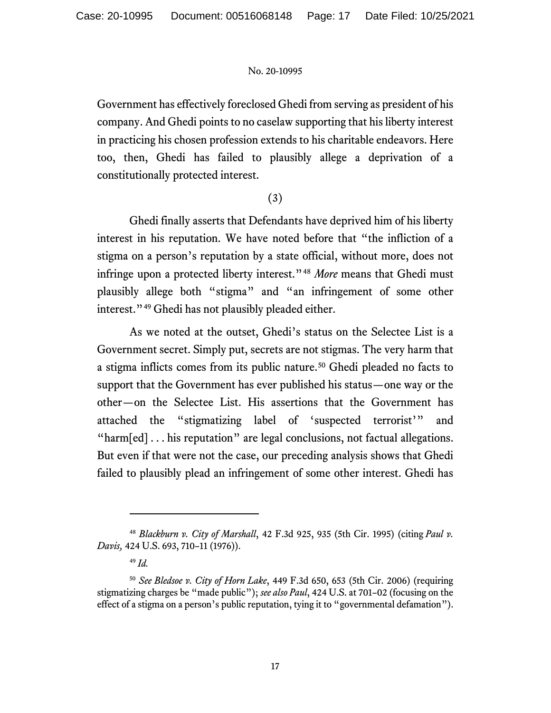Government has effectively foreclosed Ghedi from serving as president of his company. And Ghedi points to no caselaw supporting that his liberty interest in practicing his chosen profession extends to his charitable endeavors. Here too, then, Ghedi has failed to plausibly allege a deprivation of a constitutionally protected interest.

# (3)

Ghedi finally asserts that Defendants have deprived him of his liberty interest in his reputation. We have noted before that "the infliction of a stigma on a person's reputation by a state official, without more, does not infringe upon a protected liberty interest."[48](#page-16-0) *More* means that Ghedi must plausibly allege both "stigma" and "an infringement of some other interest."[49](#page-16-1) Ghedi has not plausibly pleaded either.

As we noted at the outset, Ghedi's status on the Selectee List is a Government secret. Simply put, secrets are not stigmas. The very harm that a stigma inflicts comes from its public nature. [50](#page-16-2) Ghedi pleaded no facts to support that the Government has ever published his status—one way or the other—on the Selectee List. His assertions that the Government has attached the "stigmatizing label of 'suspected terrorist'" and "harm[ed] . . . his reputation" are legal conclusions, not factual allegations. But even if that were not the case, our preceding analysis shows that Ghedi failed to plausibly plead an infringement of some other interest. Ghedi has

<span id="page-16-0"></span><sup>48</sup> *Blackburn v. City of Marshall*, 42 F.3d 925, 935 (5th Cir. 1995) (citing *Paul v. Davis,* 424 U.S. 693, 710–11 (1976)).

<sup>49</sup> *Id.*

<span id="page-16-2"></span><span id="page-16-1"></span><sup>50</sup> *See Bledsoe v. City of Horn Lake*, 449 F.3d 650, 653 (5th Cir. 2006) (requiring stigmatizing charges be "made public"); *see also Paul*, 424 U.S. at 701–02 (focusing on the effect of a stigma on a person's public reputation, tying it to "governmental defamation").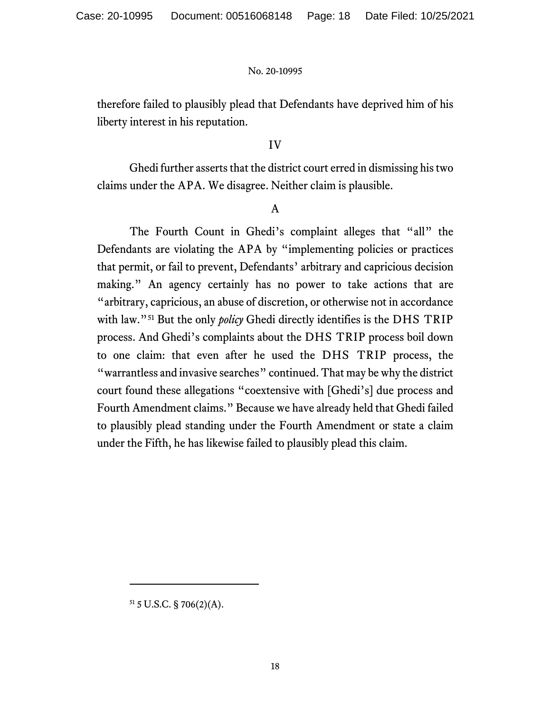therefore failed to plausibly plead that Defendants have deprived him of his liberty interest in his reputation.

# IV

Ghedi further asserts that the district court erred in dismissing his two claims under the APA. We disagree. Neither claim is plausible.

# A

The Fourth Count in Ghedi's complaint alleges that "all" the Defendants are violating the APA by "implementing policies or practices that permit, or fail to prevent, Defendants' arbitrary and capricious decision making." An agency certainly has no power to take actions that are "arbitrary, capricious, an abuse of discretion, or otherwise not in accordance with law."[51](#page-17-0) But the only *policy* Ghedi directly identifies is the DHS TRIP process. And Ghedi's complaints about the DHS TRIP process boil down to one claim: that even after he used the DHS TRIP process, the "warrantless and invasive searches" continued. That may be why the district court found these allegations "coextensive with [Ghedi's] due process and Fourth Amendment claims." Because we have already held that Ghedi failed to plausibly plead standing under the Fourth Amendment or state a claim under the Fifth, he has likewise failed to plausibly plead this claim.

<span id="page-17-0"></span> $51$  5 U.S.C. § 706(2)(A).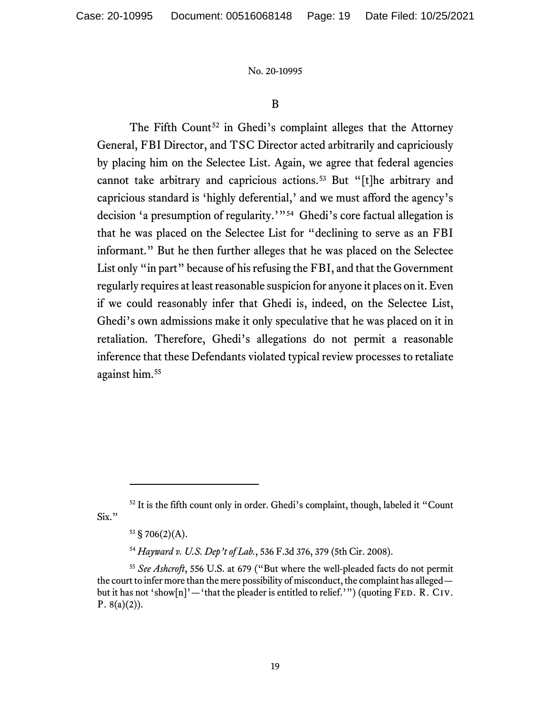# B

The Fifth Count<sup>[52](#page-18-0)</sup> in Ghedi's complaint alleges that the Attorney General, FBI Director, and TSC Director acted arbitrarily and capriciously by placing him on the Selectee List. Again, we agree that federal agencies cannot take arbitrary and capricious actions.<sup>[53](#page-18-1)</sup> But "[t]he arbitrary and capricious standard is 'highly deferential,' and we must afford the agency's decision 'a presumption of regularity.'"[54](#page-18-2) Ghedi's core factual allegation is that he was placed on the Selectee List for "declining to serve as an FBI informant." But he then further alleges that he was placed on the Selectee List only "in part" because of his refusing the FBI, and that the Government regularly requires at least reasonable suspicion for anyone it places on it. Even if we could reasonably infer that Ghedi is, indeed, on the Selectee List, Ghedi's own admissions make it only speculative that he was placed on it in retaliation. Therefore, Ghedi's allegations do not permit a reasonable inference that these Defendants violated typical review processes to retaliate against him[.55](#page-18-3)

<span id="page-18-1"></span><span id="page-18-0"></span><sup>&</sup>lt;sup>52</sup> It is the fifth count only in order. Ghedi's complaint, though, labeled it "Count Six."

 $53 \text{ } S706(2)(\text{A}).$ 

<sup>54</sup> *Hayward v. U.S. Dep't of Lab.*, 536 F.3d 376, 379 (5th Cir. 2008).

<span id="page-18-3"></span><span id="page-18-2"></span><sup>55</sup> *See Ashcroft*, 556 U.S. at 679 ("But where the well-pleaded facts do not permit the court to infer more than the mere possibility of misconduct, the complaint has alleged but it has not 'show[n]'—'that the pleader is entitled to relief.'") (quoting FED. R. CIV. P.  $8(a)(2)$ ).